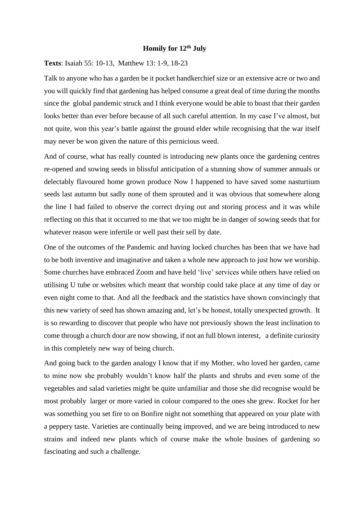## **Homily for 12th July**

**Texts**: Isaiah 55: 10-13, Matthew 13: 1-9, 18-23

Talk to anyone who has a garden be it pocket handkerchief size or an extensive acre or two and you will quickly find that gardening has helped consume a great deal of time during the months since the global pandemic struck and I think everyone would be able to boast that their garden looks better than ever before because of all such careful attention. In my case I've almost, but not quite, won this year's battle against the ground elder while recognising that the war itself may never be won given the nature of this pernicious weed.

And of course, what has really counted is introducing new plants once the gardening centres re-opened and sowing seeds in blissful anticipation of a stunning show of summer annuals or delectably flavoured home grown produce Now I happened to have saved some nasturtium seeds last autumn but sadly none of them sprouted and it was obvious that somewhere along the line I had failed to observe the correct drying out and storing process and it was while reflecting on this that it occurred to me that we too might be in danger of sowing seeds that for whatever reason were infertile or well past their sell by date.

One of the outcomes of the Pandemic and having locked churches has been that we have had to be both inventive and imaginative and taken a whole new approach to just how we worship. Some churches have embraced Zoom and have held 'live' services while others have relied on utilising U tube or websites which meant that worship could take place at any time of day or even night come to that. And all the feedback and the statistics have shown convincingly that this new variety of seed has shown amazing and, let's be honest, totally unexpected growth. It is so rewarding to discover that people who have not previously shown the least inclination to come through a church door are now showing, if not an full blown interest, a definite curiosity in this completely new way of being church.

And going back to the garden analogy I know that if my Mother, who loved her garden, came to mine now she probably wouldn't know half the plants and shrubs and even some of the vegetables and salad varieties might be quite unfamiliar and those she did recognise would be most probably larger or more varied in colour compared to the ones she grew. Rocket for her was something you set fire to on Bonfire night not something that appeared on your plate with a peppery taste. Varieties are continually being improved, and we are being introduced to new strains and indeed new plants which of course make the whole busines of gardening so fascinating and such a challenge.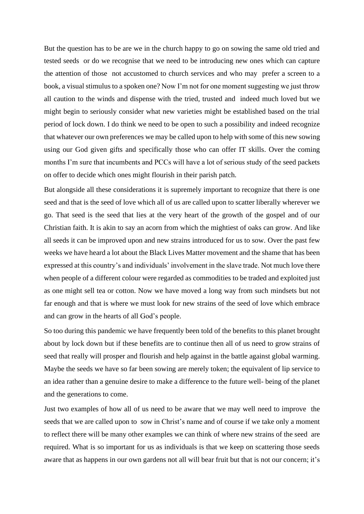But the question has to be are we in the church happy to go on sowing the same old tried and tested seeds or do we recognise that we need to be introducing new ones which can capture the attention of those not accustomed to church services and who may prefer a screen to a book, a visual stimulus to a spoken one? Now I'm not for one moment suggesting we just throw all caution to the winds and dispense with the tried, trusted and indeed much loved but we might begin to seriously consider what new varieties might be established based on the trial period of lock down. I do think we need to be open to such a possibility and indeed recognize that whatever our own preferences we may be called upon to help with some of this new sowing using our God given gifts and specifically those who can offer IT skills. Over the coming months I'm sure that incumbents and PCCs will have a lot of serious study of the seed packets on offer to decide which ones might flourish in their parish patch.

But alongside all these considerations it is supremely important to recognize that there is one seed and that is the seed of love which all of us are called upon to scatter liberally wherever we go. That seed is the seed that lies at the very heart of the growth of the gospel and of our Christian faith. It is akin to say an acorn from which the mightiest of oaks can grow. And like all seeds it can be improved upon and new strains introduced for us to sow. Over the past few weeks we have heard a lot about the Black Lives Matter movement and the shame that has been expressed at this country's and individuals' involvement in the slave trade. Not much love there when people of a different colour were regarded as commodities to be traded and exploited just as one might sell tea or cotton. Now we have moved a long way from such mindsets but not far enough and that is where we must look for new strains of the seed of love which embrace and can grow in the hearts of all God's people.

So too during this pandemic we have frequently been told of the benefits to this planet brought about by lock down but if these benefits are to continue then all of us need to grow strains of seed that really will prosper and flourish and help against in the battle against global warming. Maybe the seeds we have so far been sowing are merely token; the equivalent of lip service to an idea rather than a genuine desire to make a difference to the future well- being of the planet and the generations to come.

Just two examples of how all of us need to be aware that we may well need to improve the seeds that we are called upon to sow in Christ's name and of course if we take only a moment to reflect there will be many other examples we can think of where new strains of the seed are required. What is so important for us as individuals is that we keep on scattering those seeds aware that as happens in our own gardens not all will bear fruit but that is not our concern; it's